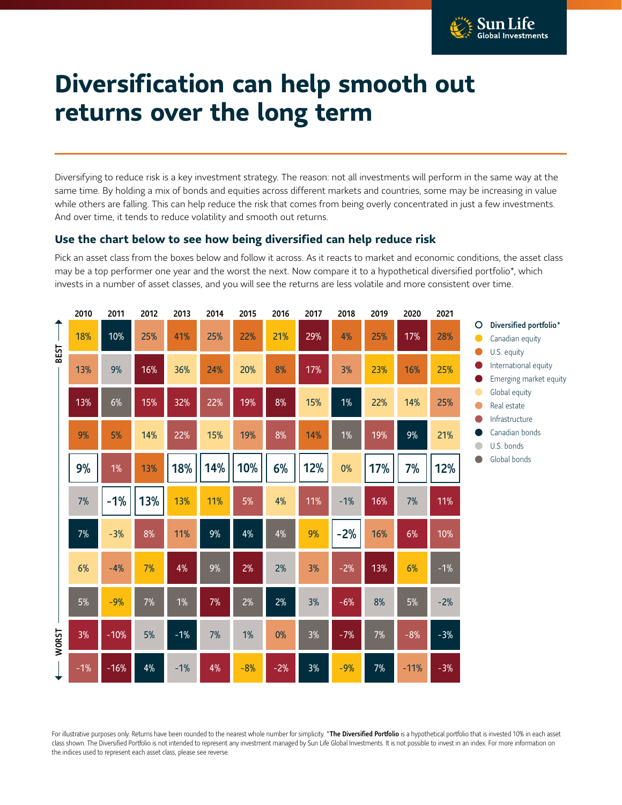

## **Diversification can help smooth out returns over the long term**

Diversifying to reduce risk is a key investment strategy. The reason: not all investments will perform in the same way at the same time. By holding a mix of bonds and equities across different markets and countries, some may be increasing in value while others are falling. This can help reduce the risk that comes from being overly concentrated in just a few investments. And over time, it tends to reduce volatility and smooth out returns.

## **Use the chart below to see how being diversified can help reduce risk**

Pick an asset class from the boxes below and follow it across. As it reacts to market and economic conditions, the asset class may be a top performer one year and the worst the next. Now compare it to a hypothetical diversified portfolio\*, which invests in a number of asset classes, and you will see the returns are less volatile and more consistent over time.

|       | 2010  | 2011   | 2012  | 2013  | 2014  | 2015  | 2016  | 2017 | 2018  | 2019 | 2020   | 2021  |        |                                                          |
|-------|-------|--------|-------|-------|-------|-------|-------|------|-------|------|--------|-------|--------|----------------------------------------------------------|
|       | 18%   | 10%    | 25%   | 41%   | 25%   | 22%   | 21%   | 29%  | 4%    | 25%  | 17%    | 28%   | O<br>c | Diversified portfolio*<br>Canadian equity<br>U.S. equity |
| BEST  | 13%   | 9%     | 16%   | 36%   | 24%   | 20%   | 8%    | 17%  | 3%    | 23%  | 16%    | 25%   |        | International equity<br>Emerging market equity           |
|       | 13%   | 6%     | 15%   | 32%   | 22%   | 19%   | 8%    | 15%  | 1%    | 22%  | 14%    | 25%   |        | Global equity<br>Real estate<br>Infrastructure           |
|       | 9%    | 5%     | 14%   | 22%   | 15%   | 19%   | 8%    | 14%  | 1%    | 19%  | 9%     | 21%   |        | Canadian bonds<br>U.S. bonds                             |
|       | 9%    | 1%     | 13%   | 18%   | 14%   | 10%   | 6%    | 12%  | $0\%$ | 17%  | 7%     | 12%   |        | Global bonds                                             |
|       | 7%    | $-1%$  | 13%   | 13%   | 11%   | 5%    | 4%    | 11%  | $-1%$ | 16%  | 7%     | 11%   |        |                                                          |
|       | 7%    | $-3%$  | 8%    | 11%   | $9\%$ | 4%    | 4%    | 9%   | $-2%$ | 16%  | $6\%$  | 10%   |        |                                                          |
|       | 6%    | $-4%$  | 7%    | 4%    | 9%    | 2%    | 2%    | 3%   | $-2%$ | 13%  | 6%     | $-1%$ |        |                                                          |
|       | 5%    | $-9%$  | 7%    | 1%    | 7%    | 2%    | 2%    | 3%   | $-6%$ | 8%   | $5\%$  | $-2%$ |        |                                                          |
| WORST | 3%    | $-10%$ | 5%    | $-1%$ | 7%    | 1%    | $0\%$ | 3%   | $-7%$ | 7%   | $-8%$  | $-3%$ |        |                                                          |
|       | $-1%$ | $-16%$ | $4\%$ | $-1%$ | 4%    | $-8%$ | $-2%$ | 3%   | $-9%$ | 7%   | $-11%$ | $-3%$ |        |                                                          |

For illustrative purposes only. Returns have been rounded to the nearest whole number for simplicity. \*The Diversified Portfolio is a hypothetical portfolio that is invested 10% in each asset class shown. The Diversified Portfolio is not intended to represent any investment managed by Sun Life Global Investments. It is not possible to invest in an index. For more information on the indices used to represent each asset class, please see reverse.